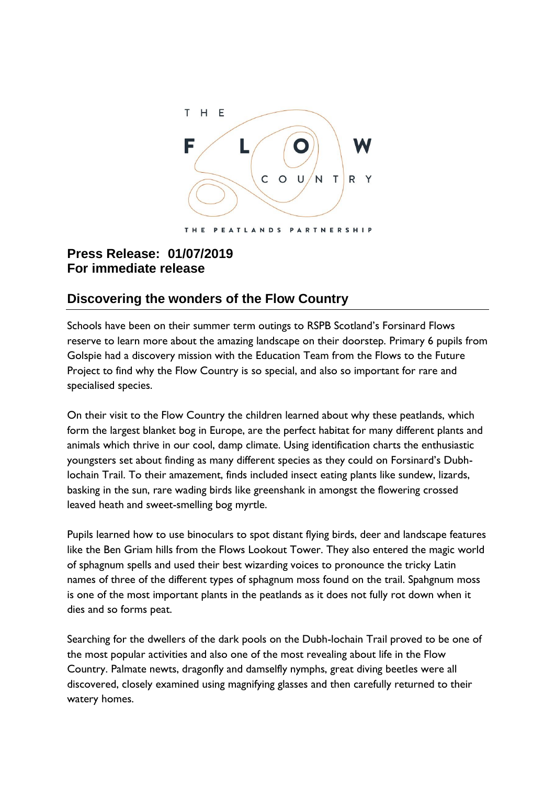

## **Press Release: 01/07/2019 For immediate release**

## **Discovering the wonders of the Flow Country**

Schools have been on their summer term outings to RSPB Scotland's Forsinard Flows reserve to learn more about the amazing landscape on their doorstep. Primary 6 pupils from Golspie had a discovery mission with the Education Team from the Flows to the Future Project to find why the Flow Country is so special, and also so important for rare and specialised species.

On their visit to the Flow Country the children learned about why these peatlands, which form the largest blanket bog in Europe, are the perfect habitat for many different plants and animals which thrive in our cool, damp climate. Using identification charts the enthusiastic youngsters set about finding as many different species as they could on Forsinard's Dubhlochain Trail. To their amazement, finds included insect eating plants like sundew, lizards, basking in the sun, rare wading birds like greenshank in amongst the flowering crossed leaved heath and sweet-smelling bog myrtle.

Pupils learned how to use binoculars to spot distant flying birds, deer and landscape features like the Ben Griam hills from the Flows Lookout Tower. They also entered the magic world of sphagnum spells and used their best wizarding voices to pronounce the tricky Latin names of three of the different types of sphagnum moss found on the trail. Spahgnum moss is one of the most important plants in the peatlands as it does not fully rot down when it dies and so forms peat.

Searching for the dwellers of the dark pools on the Dubh-lochain Trail proved to be one of the most popular activities and also one of the most revealing about life in the Flow Country. Palmate newts, dragonfly and damselfly nymphs, great diving beetles were all discovered, closely examined using magnifying glasses and then carefully returned to their watery homes.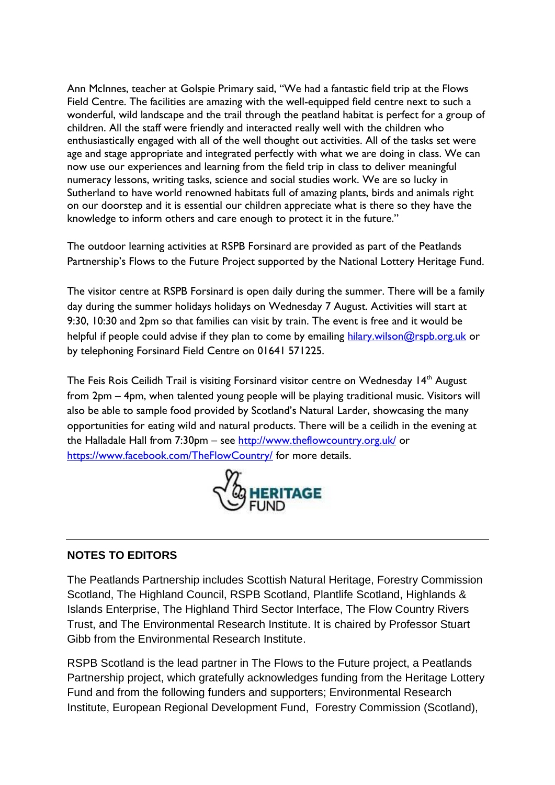Ann McInnes, teacher at Golspie Primary said, "We had a fantastic field trip at the Flows Field Centre. The facilities are amazing with the well-equipped field centre next to such a wonderful, wild landscape and the trail through the peatland habitat is perfect for a group of children. All the staff were friendly and interacted really well with the children who enthusiastically engaged with all of the well thought out activities. All of the tasks set were age and stage appropriate and integrated perfectly with what we are doing in class. We can now use our experiences and learning from the field trip in class to deliver meaningful numeracy lessons, writing tasks, science and social studies work. We are so lucky in Sutherland to have world renowned habitats full of amazing plants, birds and animals right on our doorstep and it is essential our children appreciate what is there so they have the knowledge to inform others and care enough to protect it in the future."

The outdoor learning activities at RSPB Forsinard are provided as part of the Peatlands Partnership's Flows to the Future Project supported by the National Lottery Heritage Fund.

The visitor centre at RSPB Forsinard is open daily during the summer. There will be a family day during the summer holidays holidays on Wednesday 7 August. Activities will start at 9:30, 10:30 and 2pm so that families can visit by train. The event is free and it would be helpful if people could advise if they plan to come by emailing [hilary.wilson@rspb.org.uk](mailto:hilary.wilson@rspb.org.uk) or by telephoning Forsinard Field Centre on 01641 571225.

The Feis Rois Ceilidh Trail is visiting Forsinard visitor centre on Wednesday  $14<sup>th</sup>$  August from 2pm – 4pm, when talented young people will be playing traditional music. Visitors will also be able to sample food provided by Scotland's Natural Larder, showcasing the many opportunities for eating wild and natural products. There will be a ceilidh in the evening at the Halladale Hall from 7:30pm – see<http://www.theflowcountry.org.uk/> or <https://www.facebook.com/TheFlowCountry/> for more details.



## **NOTES TO EDITORS**

The Peatlands Partnership includes Scottish Natural Heritage, Forestry Commission Scotland, The Highland Council, RSPB Scotland, Plantlife Scotland, Highlands & Islands Enterprise, The Highland Third Sector Interface, The Flow Country Rivers Trust, and The Environmental Research Institute. It is chaired by Professor Stuart Gibb from the Environmental Research Institute.

RSPB Scotland is the lead partner in The Flows to the Future project, a Peatlands Partnership project, which gratefully acknowledges funding from the Heritage Lottery Fund and from the following funders and supporters; Environmental Research Institute, European Regional Development Fund, Forestry Commission (Scotland),